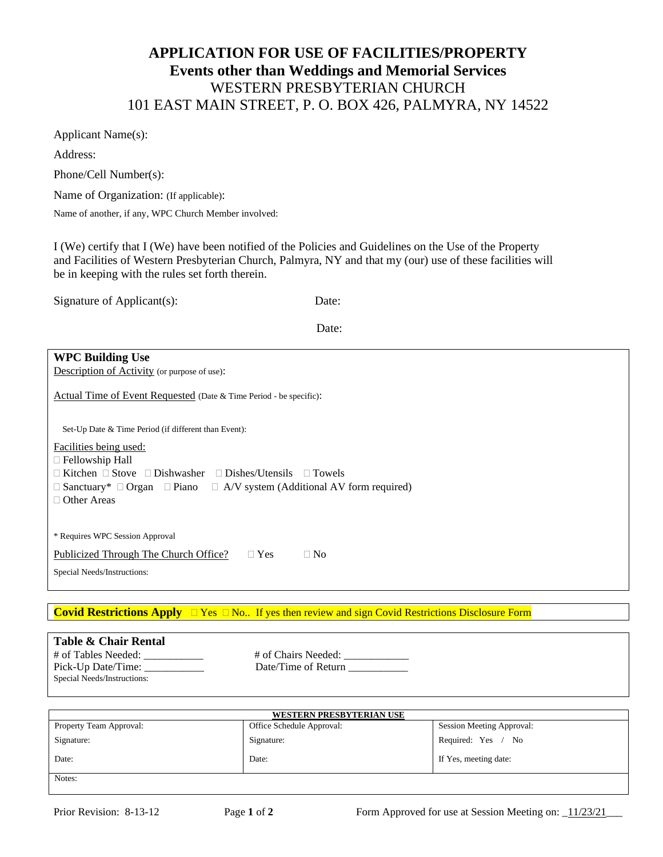# **APPLICATION FOR USE OF FACILITIES/PROPERTY Events other than Weddings and Memorial Services** WESTERN PRESBYTERIAN CHURCH 101 EAST MAIN STREET, P. O. BOX 426, PALMYRA, NY 14522

Applicant Name(s):

Address:

Phone/Cell Number(s):

Name of Organization: (If applicable):

Name of another, if any, WPC Church Member involved:

I (We) certify that I (We) have been notified of the Policies and Guidelines on the Use of the Property and Facilities of Western Presbyterian Church, Palmyra, NY and that my (our) use of these facilities will be in keeping with the rules set forth therein.

| Signature of Applicant(s): | Date: |
|----------------------------|-------|
|                            |       |

Date:

## **WPC Building Use**

Description of Activity (or purpose of use):

Actual Time of Event Requested (Date & Time Period - be specific):

Set-Up Date & Time Period (if different than Event):

Facilities being used:

Fellowship Hall

 $\Box$  Kitchen  $\Box$  Stove  $\Box$  Dishwasher  $\Box$  Dishes/Utensils  $\Box$  Towels

 $\Box$  Sanctuary\*  $\Box$  Organ  $\Box$  Piano  $\Box$  A/V system (Additional AV form required)

□ Other Areas

\* Requires WPC Session Approval

Publicized Through The Church Office?  $\Box$  Yes  $\Box$  No

Special Needs/Instructions:

Special Needs/Instructions:

**Covid Restrictions Apply**  $\Box$  Yes  $\Box$  No.. If yes then review and sign Covid Restrictions Disclosure Form

## **Table & Chair Rental** # of Tables Needed: \_\_\_\_\_\_\_\_\_\_\_ # of Chairs Needed: \_\_\_\_\_\_\_\_\_\_\_\_

Pick-Up Date/Time: \_\_\_\_\_\_\_\_\_\_\_\_\_\_ Date/Time of Return \_\_\_\_\_\_\_\_\_\_\_\_\_\_\_\_\_\_\_\_\_\_\_\_\_\_

| WESTERN PRESBYTERIAN USE |                           |                                  |
|--------------------------|---------------------------|----------------------------------|
| Property Team Approval:  | Office Schedule Approval: | <b>Session Meeting Approval:</b> |
| Signature:               | Signature:                | Required: Yes / No               |
| Date:                    | Date:                     | If Yes, meeting date:            |
| Notes:                   |                           |                                  |